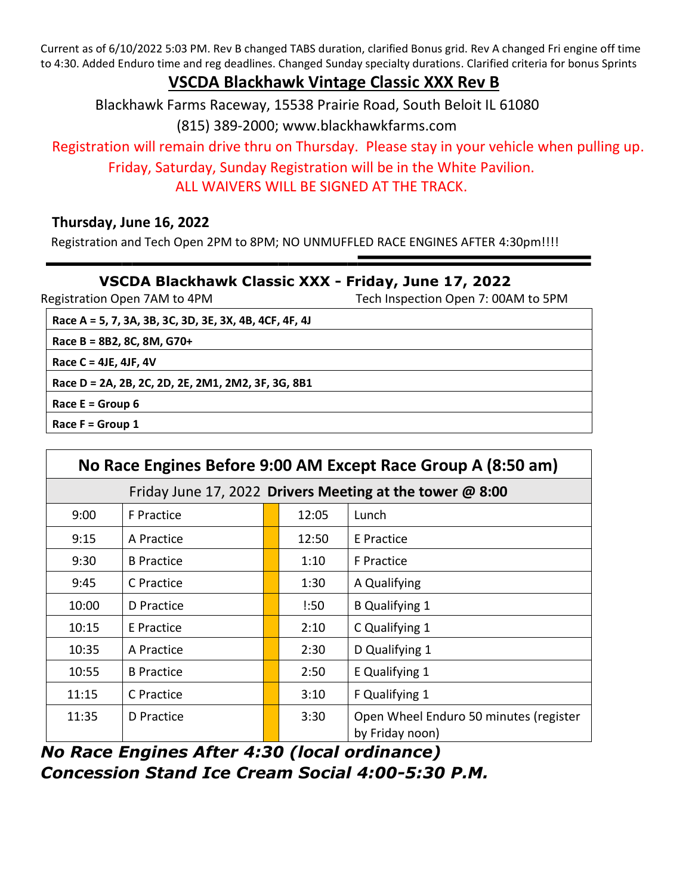Current as of 6/10/2022 5:03 PM. Rev B changed TABS duration, clarified Bonus grid. Rev A changed Fri engine off time to 4:30. Added Enduro time and reg deadlines. Changed Sunday specialty durations. Clarified criteria for bonus Sprints

## **VSCDA Blackhawk Vintage Classic XXX Rev B**

Blackhawk Farms Raceway, 15538 Prairie Road, South Beloit IL 61080 (815) 389-2000; www.blackhawkfarms.com

Registration will remain drive thru on Thursday. Please stay in your vehicle when pulling up.

Friday, Saturday, Sunday Registration will be in the White Pavilion. ALL WAIVERS WILL BE SIGNED AT THE TRACK.

## **Thursday, June 16, 2022**

Registration and Tech Open 2PM to 8PM; NO UNMUFFLED RACE ENGINES AFTER 4:30pm!!!!

## **VSCDA Blackhawk Classic XXX - Friday, June 17, 2022**

Registration Open 7AM to 4PM Tech Inspection Open 7: 00AM to 5PM

**Race A = 5, 7, 3A, 3B, 3C, 3D, 3E, 3X, 4B, 4CF, 4F, 4J**

**Race B = 8B2, 8C, 8M, G70+**

**Race C = 4JE, 4JF, 4V** 

**Race D = 2A, 2B, 2C, 2D, 2E, 2M1, 2M2, 3F, 3G, 8B1** 

**Race E = Group 6**

**Race F = Group 1**

| No Race Engines Before 9:00 AM Except Race Group A (8:50 am) |                   |  |       |                                                           |  |  |  |  |
|--------------------------------------------------------------|-------------------|--|-------|-----------------------------------------------------------|--|--|--|--|
| Friday June 17, 2022 Drivers Meeting at the tower @ 8:00     |                   |  |       |                                                           |  |  |  |  |
| 9:00                                                         | <b>F</b> Practice |  | 12:05 | Lunch                                                     |  |  |  |  |
| 9:15                                                         | A Practice        |  | 12:50 | E Practice                                                |  |  |  |  |
| 9:30                                                         | <b>B</b> Practice |  | 1:10  | <b>F</b> Practice                                         |  |  |  |  |
| 9:45                                                         | C Practice        |  | 1:30  | A Qualifying                                              |  |  |  |  |
| 10:00                                                        | D Practice        |  | !:50  | <b>B</b> Qualifying 1                                     |  |  |  |  |
| 10:15                                                        | E Practice        |  | 2:10  | C Qualifying 1                                            |  |  |  |  |
| 10:35                                                        | A Practice        |  | 2:30  | D Qualifying 1                                            |  |  |  |  |
| 10:55                                                        | <b>B</b> Practice |  | 2:50  | E Qualifying 1                                            |  |  |  |  |
| 11:15                                                        | C Practice        |  | 3:10  | F Qualifying 1                                            |  |  |  |  |
| 11:35                                                        | D Practice        |  | 3:30  | Open Wheel Enduro 50 minutes (register<br>by Friday noon) |  |  |  |  |

*No Race Engines After 4:30 (local ordinance) Concession Stand Ice Cream Social 4:00-5:30 P.M.*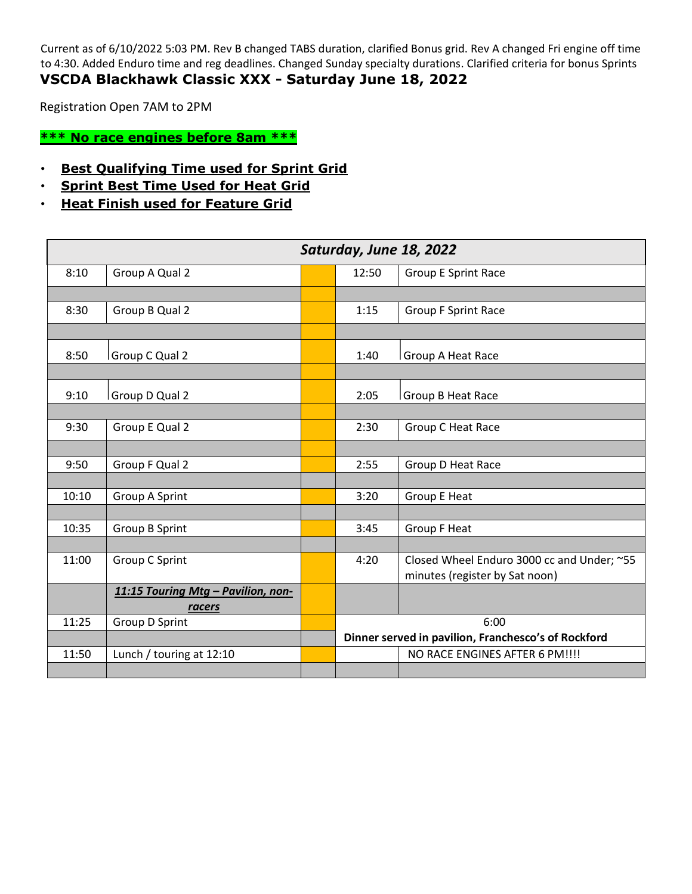Current as of 6/10/2022 5:03 PM. Rev B changed TABS duration, clarified Bonus grid. Rev A changed Fri engine off time to 4:30. Added Enduro time and reg deadlines. Changed Sunday specialty durations. Clarified criteria for bonus Sprints **VSCDA Blackhawk Classic XXX - Saturday June 18, 2022**

Registration Open 7AM to 2PM

**\*\*\* No race engines before 8am \*\*\***

- **Best Qualifying Time used for Sprint Grid**
- **Sprint Best Time Used for Heat Grid**
- **Heat Finish used for Feature Grid**

| Saturday, June 18, 2022 |                                    |  |                                                     |                                            |  |
|-------------------------|------------------------------------|--|-----------------------------------------------------|--------------------------------------------|--|
| 8:10                    | Group A Qual 2                     |  | 12:50                                               | <b>Group E Sprint Race</b>                 |  |
|                         |                                    |  |                                                     |                                            |  |
| 8:30                    | Group B Qual 2                     |  | 1:15                                                | <b>Group F Sprint Race</b>                 |  |
|                         |                                    |  |                                                     |                                            |  |
| 8:50                    | Group C Qual 2                     |  | 1:40                                                | Group A Heat Race                          |  |
|                         |                                    |  |                                                     |                                            |  |
| 9:10                    | Group D Qual 2                     |  | 2:05                                                | Group B Heat Race                          |  |
|                         |                                    |  |                                                     |                                            |  |
| 9:30                    | Group E Qual 2                     |  | 2:30                                                | Group C Heat Race                          |  |
|                         |                                    |  |                                                     |                                            |  |
| 9:50                    | Group F Qual 2                     |  | 2:55                                                | Group D Heat Race                          |  |
|                         |                                    |  |                                                     |                                            |  |
| 10:10                   | Group A Sprint                     |  | 3:20                                                | Group E Heat                               |  |
|                         |                                    |  |                                                     |                                            |  |
| 10:35                   | Group B Sprint                     |  | 3:45                                                | <b>Group F Heat</b>                        |  |
|                         |                                    |  |                                                     |                                            |  |
| 11:00                   | Group C Sprint                     |  | 4:20                                                | Closed Wheel Enduro 3000 cc and Under; ~55 |  |
|                         |                                    |  |                                                     | minutes (register by Sat noon)             |  |
|                         | 11:15 Touring Mtg - Pavilion, non- |  |                                                     |                                            |  |
|                         | racers                             |  |                                                     |                                            |  |
| 11:25                   | Group D Sprint                     |  | 6:00                                                |                                            |  |
|                         |                                    |  | Dinner served in pavilion, Franchesco's of Rockford |                                            |  |
| 11:50                   | Lunch / touring at 12:10           |  |                                                     | NO RACE ENGINES AFTER 6 PM!!!!             |  |
|                         |                                    |  |                                                     |                                            |  |